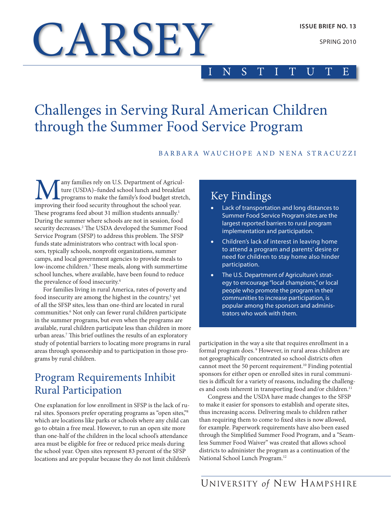# CARSEY

**SPRING 2010** 

#### INSTITUTE

# Challenges in Serving Rural American Children through the summer Food service Program

BARBARA WAUCHOPE AND NENA STRACUZZI

Many families rely on U.S. Department of Agriculture (USDA)–funded school lunch and breakfast programs to make the family's food budget strete improving their food security throughout the school year. ture (USDA)–funded school lunch and breakfast programs to make the family's food budget stretch, improving their food security throughout the school year. These programs feed about 31 million students annually.<sup>1</sup> During the summer where schools are not in session, food security decreases.<sup>2</sup> The USDA developed the Summer Food Service Program (SFSP) to address this problem. The SFSP funds state administrators who contract with local sponsors, typically schools, nonprofit organizations, summer camps, and local government agencies to provide meals to low-income children.3 These meals, along with summertime school lunches, where available, have been found to reduce the prevalence of food insecurity.4

For families living in rural America, rates of poverty and food insecurity are among the highest in the country,<sup>5</sup> yet of all the sFsP sites, less than one-third are located in rural communities.<sup>6</sup> Not only can fewer rural children participate in the summer programs, but even when the programs are available, rural children participate less than children in more urban areas.7 This brief outlines the results of an exploratory study of potential barriers to locating more programs in rural areas through sponsorship and to participation in those programs by rural children.

## Program Requirements Inhibit **Rural Participation**

One explanation for low enrollment in SFSP is the lack of rural sites. Sponsors prefer operating programs as "open sites,"<sup>8</sup> which are locations like parks or schools where any child can go to obtain a free meal. however, to run an open site more than one-half of the children in the local school's attendance area must be eligible for free or reduced price meals during the school year. Open sites represent 83 percent of the SFSP locations and are popular because they do not limit children's

## Key Findings

- Lack of transportation and long distances to Summer Food Service program sites are the largest reported barriers to rural program implementation and participation.
- Children's lack of interest in leaving home to attend a program and parents' desire or need for children to stay home also hinder participation.
- The U.S. Department of Agriculture's strategy to encourage "local champions," or local people who promote the program in their communities to increase participation, is popular among the sponsors and administrators who work with them.

participation in the way a site that requires enrollment in a formal program does.<sup>9</sup> However, in rural areas children are not geographically concentrated so school districts often cannot meet the 50 percent requirement.<sup>10</sup> Finding potential sponsors for either open or enrolled sites in rural communities is difficult for a variety of reasons, including the challenges and costs inherent in transporting food and/or children.<sup>11</sup>

Congress and the USDA have made changes to the SFSP to make it easier for sponsors to establish and operate sites, thus increasing access. Delivering meals to children rather than requiring them to come to fixed sites is now allowed, for example. Paperwork requirements have also been eased through the Simplified Summer Food Program, and a "Seamless summer Food Waiver" was created that allows school districts to administer the program as a continuation of the National School Lunch Program.<sup>12</sup>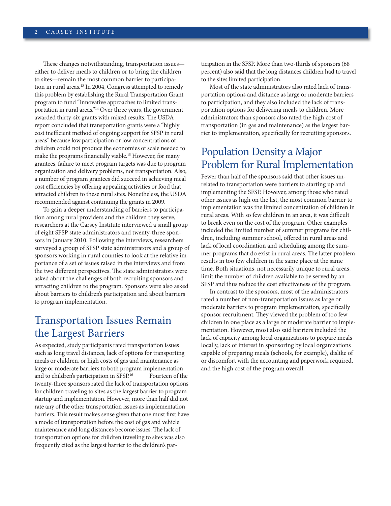These changes notwithstanding, transportation issues either to deliver meals to children or to bring the children to sites—remain the most common barrier to participation in rural areas.<sup>13</sup> In 2004, Congress attempted to remedy this problem by establishing the Rural Transportation Grant program to fund "innovative approaches to limited transportation in rural areas."<sup>14</sup> Over three years, the government awarded thirty-six grants with mixed results. The USDA report concluded that transportation grants were a "highly cost inefficient method of ongoing support for sFsP in rural areas" because low participation or low concentrations of children could not produce the economies of scale needed to make the programs financially viable.<sup>15</sup> However, for many grantees, failure to meet program targets was due to program organization and delivery problems, not transportation. also, a number of program grantees did succeed in achieving meal cost efficiencies by offering appealing activities or food that attracted children to these rural sites. Nonetheless, the USDA recommended against continuing the grants in 2009.

To gain a deeper understanding of barriers to participation among rural providers and the children they serve, researchers at the Carsey Institute interviewed a small group of eight sFsP state administrators and twenty-three sponsors in January 2010. Following the interviews, researchers surveyed a group of sFsP state administrators and a group of sponsors working in rural counties to look at the relative importance of a set of issues raised in the interviews and from the two different perspectives. The state administrators were asked about the challenges of both recruiting sponsors and attracting children to the program. sponsors were also asked about barriers to children's participation and about barriers to program implementation.

#### **Transportation Issues Remain** the Largest Barriers

As expected, study participants rated transportation issues such as long travel distances, lack of options for transporting meals or children, or high costs of gas and maintenance as large or moderate barriers to both program implementation and to children's participation in SFSP.<sup>16</sup> Fourteen of the twenty-three sponsors rated the lack of transportation options for children traveling to sites as the largest barrier to program startup and implementation. However, more than half did not rate any of the other transportation issues as implementation barriers. This result makes sense given that one must first have a mode of transportation before the cost of gas and vehicle maintenance and long distances become issues. The lack of transportation options for children traveling to sites was also frequently cited as the largest barrier to the children's participation in the sFsP. More than two-thirds of sponsors (68 percent) also said that the long distances children had to travel to the sites limited participation.

Most of the state administrators also rated lack of transportation options and distance as large or moderate barriers to participation, and they also included the lack of transportation options for delivering meals to children. More administrators than sponsors also rated the high cost of transportation (in gas and maintenance) as the largest barrier to implementation, specifically for recruiting sponsors.

#### Population Density a Major Problem for Rural Implementation

Fewer than half of the sponsors said that other issues unrelated to transportation were barriers to starting up and implementing the sFsP. however, among those who rated other issues as high on the list, the most common barrier to implementation was the limited concentration of children in rural areas. With so few children in an area, it was difficult to break even on the cost of the program. Other examples included the limited number of summer programs for children, including summer school, offered in rural areas and lack of local coordination and scheduling among the summer programs that do exist in rural areas. The latter problem results in too few children in the same place at the same time. Both situations, not necessarily unique to rural areas, limit the number of children available to be served by an sFsP and thus reduce the cost effectiveness of the program.

In contrast to the sponsors, most of the administrators rated a number of non-transportation issues as large or moderate barriers to program implementation, specifically sponsor recruitment. They viewed the problem of too few children in one place as a large or moderate barrier to implementation. However, most also said barriers included the lack of capacity among local organizations to prepare meals locally, lack of interest in sponsoring by local organizations capable of preparing meals (schools, for example), dislike of or discomfort with the accounting and paperwork required, and the high cost of the program overall.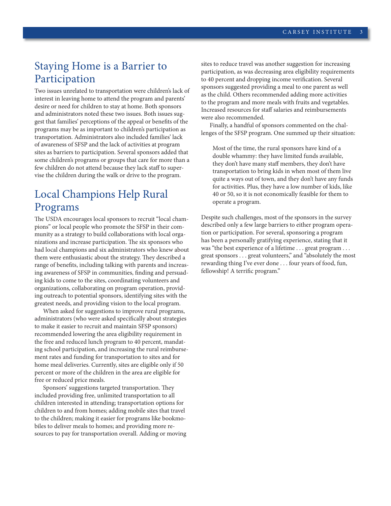#### staying home is a Barrier to Participation

Two issues unrelated to transportation were children's lack of interest in leaving home to attend the program and parents' desire or need for children to stay at home. Both sponsors and administrators noted these two issues. Both issues suggest that families' perceptions of the appeal or benefits of the programs may be as important to children's participation as transportation. administrators also included families' lack of awareness of sFsP and the lack of activities at program sites as barriers to participation. several sponsors added that some children's programs or groups that care for more than a few children do not attend because they lack staff to supervise the children during the walk or drive to the program.

#### Local Champions Help Rural Programs

The USDA encourages local sponsors to recruit "local champions" or local people who promote the sFsP in their community as a strategy to build collaborations with local organizations and increase participation. The six sponsors who had local champions and six administrators who knew about them were enthusiastic about the strategy. They described a range of benefits, including talking with parents and increasing awareness of sFsP in communities, finding and persuading kids to come to the sites, coordinating volunteers and organizations, collaborating on program operation, providing outreach to potential sponsors, identifying sites with the greatest needs, and providing vision to the local program.

When asked for suggestions to improve rural programs, administrators (who were asked specifically about strategies to make it easier to recruit and maintain sFsP sponsors) recommended lowering the area eligibility requirement in the free and reduced lunch program to 40 percent, mandating school participation, and increasing the rural reimbursement rates and funding for transportation to sites and for home meal deliveries. Currently, sites are eligible only if 50 percent or more of the children in the area are eligible for free or reduced price meals.

sponsors' suggestions targeted transportation. They included providing free, unlimited transportation to all children interested in attending; transportation options for children to and from homes; adding mobile sites that travel to the children; making it easier for programs like bookmobiles to deliver meals to homes; and providing more resources to pay for transportation overall. Adding or moving sites to reduce travel was another suggestion for increasing participation, as was decreasing area eligibility requirements to 40 percent and dropping income verification. several sponsors suggested providing a meal to one parent as well as the child. others recommended adding more activities to the program and more meals with fruits and vegetables. Increased resources for staff salaries and reimbursements were also recommended.

Finally, a handful of sponsors commented on the challenges of the SFSP program. One summed up their situation:

Most of the time, the rural sponsors have kind of a double whammy: they have limited funds available, they don't have many staff members, they don't have transportation to bring kids in when most of them live quite a ways out of town, and they don't have any funds for activities. Plus, they have a low number of kids, like 40 or 50, so it is not economically feasible for them to operate a program.

Despite such challenges, most of the sponsors in the survey described only a few large barriers to either program operation or participation. For several, sponsoring a program has been a personally gratifying experience, stating that it was "the best experience of a lifetime . . . great program . . . great sponsors . . . great volunteers," and "absolutely the most rewarding thing I've ever done . . . four years of food, fun, fellowship! A terrific program."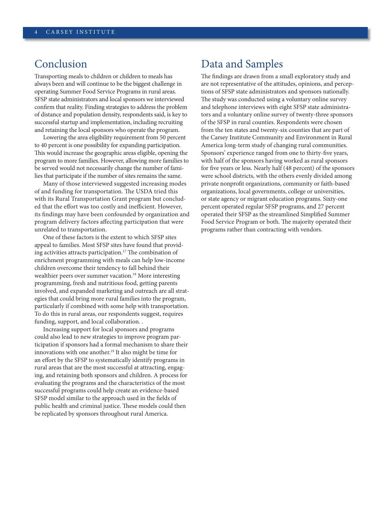#### Conclusion

Transporting meals to children or children to meals has always been and will continue to be the biggest challenge in operating summer Food service Programs in rural areas. sFsP state administrators and local sponsors we interviewed confirm that reality. Finding strategies to address the problem of distance and population density, respondents said, is key to successful startup and implementation, including recruiting and retaining the local sponsors who operate the program.

Lowering the area eligibility requirement from 50 percent to 40 percent is one possibility for expanding participation. This would increase the geographic areas eligible, opening the program to more families. however, allowing more families to be served would not necessarily change the number of families that participate if the number of sites remains the same.

Many of those interviewed suggested increasing modes of and funding for transportation. The USDA tried this with its Rural Transportation Grant program but concluded that the effort was too costly and inefficient. however, its findings may have been confounded by organization and program delivery factors affecting participation that were unrelated to transportation.

One of these factors is the extent to which SFSP sites appeal to families. Most sFsP sites have found that providing activities attracts participation.<sup>17</sup> The combination of enrichment programming with meals can help low-income children overcome their tendency to fall behind their wealthier peers over summer vacation.<sup>18</sup> More interesting programming, fresh and nutritious food, getting parents involved, and expanded marketing and outreach are all strategies that could bring more rural families into the program, particularly if combined with some help with transportation. To do this in rural areas, our respondents suggest, requires funding, support, and local collaboration. .

Increasing support for local sponsors and programs could also lead to new strategies to improve program participation if sponsors had a formal mechanism to share their innovations with one another.<sup>19</sup> It also might be time for an effort by the sFsP to systematically identify programs in rural areas that are the most successful at attracting, engaging, and retaining both sponsors and children. A process for evaluating the programs and the characteristics of the most successful programs could help create an evidence-based sFsP model similar to the approach used in the fields of public health and criminal justice. These models could then be replicated by sponsors throughout rural America.

## Data and Samples

The findings are drawn from a small exploratory study and are not representative of the attitudes, opinions, and perceptions of sFsP state administrators and sponsors nationally. The study was conducted using a voluntary online survey and telephone interviews with eight sFsP state administrators and a voluntary online survey of twenty-three sponsors of the SFSP in rural counties. Respondents were chosen from the ten states and twenty-six counties that are part of the Carsey Institute Community and Environment in Rural America long-term study of changing rural communities. sponsors' experience ranged from one to thirty-five years, with half of the sponsors having worked as rural sponsors for five years or less. Nearly half (48 percent) of the sponsors were school districts, with the others evenly divided among private nonprofit organizations, community or faith-based organizations, local governments, college or universities, or state agency or migrant education programs. sixty-one percent operated regular sFsP programs, and 27 percent operated their sFsP as the streamlined simplified summer Food service Program or both. The majority operated their programs rather than contracting with vendors.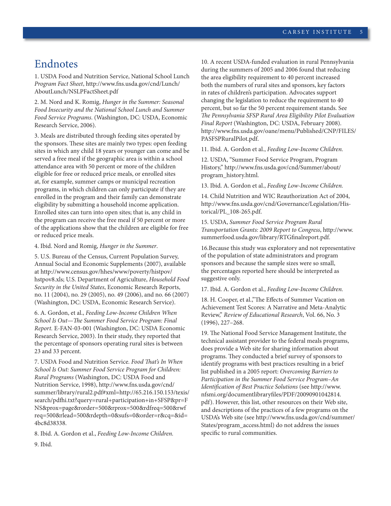#### Endnotes

1. USDA Food and Nutrition Service, National School Lunch *Program Fact Sheet*, http://www.fns.usda.gov/cnd/Lunch/ aboutLunch/nsLPFactsheet.pdf

2. M. Nord and K. Romig, *Hunger in the Summer: Seasonal Food Insecurity and the National School Lunch and Summer*  Food Service Programs. (Washington, DC: USDA, Economic Research Service, 2006).

3. Meals are distributed through feeding sites operated by the sponsors. These sites are mainly two types: open feeding sites in which any child 18 years or younger can come and be served a free meal if the geographic area is within a school attendance area with 50 percent or more of the children eligible for free or reduced price meals, or enrolled sites at, for example, summer camps or municipal recreation programs, in which children can only participate if they are enrolled in the program and their family can demonstrate eligibility by submitting a household income application. Enrolled sites can turn into open sites; that is, any child in the program can receive the free meal if 50 percent or more of the applications show that the children are eligible for free or reduced price meals.

4. Ibid. Nord and Romig, *Hunger in the Summer*.

5. U.S. Bureau of the Census, Current Population Survey, Annual Social and Economic Supplements (2007), available at http://www.census.gov/hhes/www/poverty/histpov/ hstpov8.xls; U.S. Department of Agriculture, *Household Food Security in the United States*, Economic Research Reports, no. 11 (2004), no. 29 (2005), no. 49 (2006), and no. 66 (2007) (Washington, DC: USDA, Economic Research Service).

6. a. Gordon, et al., *Feeding Low-Income Children When School Is Out—The Summer Food Service Program: Final Report.* E-FAN-03-001 (Washington, DC: USDA Economic Research Service, 2003). In their study, they reported that the percentage of sponsors operating rural sites is between 23 and 33 percent.

7. USDA Food and Nutrition Service. Food That's In When *School Is Out: Summer Food Service Program for Children: Rural Programs* (Washington, DC: USDA Food and Nutrition Service, 1998), http://www.fns.usda.gov/cnd/ summer/library/rural2.pdf#xml=http://65.216.150.153/texis/ search/pdfhi.txt?query=rural+participation+in+sFsP&pr=F ns&prox=page&rorder=500&rprox=500&rdfreq=500&rwf req=500&rlead=500&rdepth=0&sufs=0&order=r&cq=&id= 4bc8d38338.

8. ibid. a. Gordon et al., *Feeding Low-Income Children.*

9. ibid.

10. A recent USDA-funded evaluation in rural Pennsylvania during the summers of 2005 and 2006 found that reducing the area eligibility requirement to 40 percent increased both the numbers of rural sites and sponsors, key factors in rates of children's participation. Advocates support changing the legislation to reduce the requirement to 40 percent, but so far the 50 percent requirement stands. see *The Pennsylvania SFSP Rural Area Eligibility Pilot Evaluation Final Report* (Washington, DC: USDA, February 2008). http://www.fns.usda.gov/oane/menu/Published/CnP/FiLes/ PASFSPRuralPilot.pdf.

11. ibid. a. Gordon et al., *Feeding Low-Income Children.*

12. USDA, "Summer Food Service Program, Program history," http://www.fns.usda.gov/cnd/summer/about/ program\_history.html.

13. Ibid. A. Gordon et al., Feeding Low-Income Children.

14. Child Nutrition and WIC Reauthorization Act of 2004, http://www.fns.usda.gov/cnd/Governance/Legislation/historical/PL\_108-265.pdf.

15. USDA, *Summer Food Service Program Rural Transportation Grants: 2009 Report to Congress*, http://www. summerfood.usda.gov/library/RTGfinalreport.pdf.

16.Because this study was exploratory and not representative of the population of state administrators and program sponsors and because the sample sizes were so small, the percentages reported here should be interpreted as suggestive only.

17. ibid. a. Gordon et al., *Feeding Low-Income Children.*

18. H. Cooper, et al.,"The Effects of Summer Vacation on Achievement Test Scores: A Narrative and Meta-Analytic Review," Review of Educational Research, Vol. 66, No. 3 (1996), 227–268.

19. The National Food Service Management Institute, the technical assistant provider to the federal meals programs, does provide a Web site for sharing information about programs. They conducted a brief survey of sponsors to identify programs with best practices resulting in a brief list published in a 2005 report: *Overcoming Barriers to Participation in the Summer Food Service Program–An Identification of Best Practice Solutions* (see http://www. nfsmi.org/documentlibraryfiles/PDF/20090901042814. pdf). However, this list, other resources on their Web site, and descriptions of the practices of a few programs on the usda's Web site (see http://www.fns.usda.gov/cnd/summer/ states/program\_access.html) do not address the issues specific to rural communities.